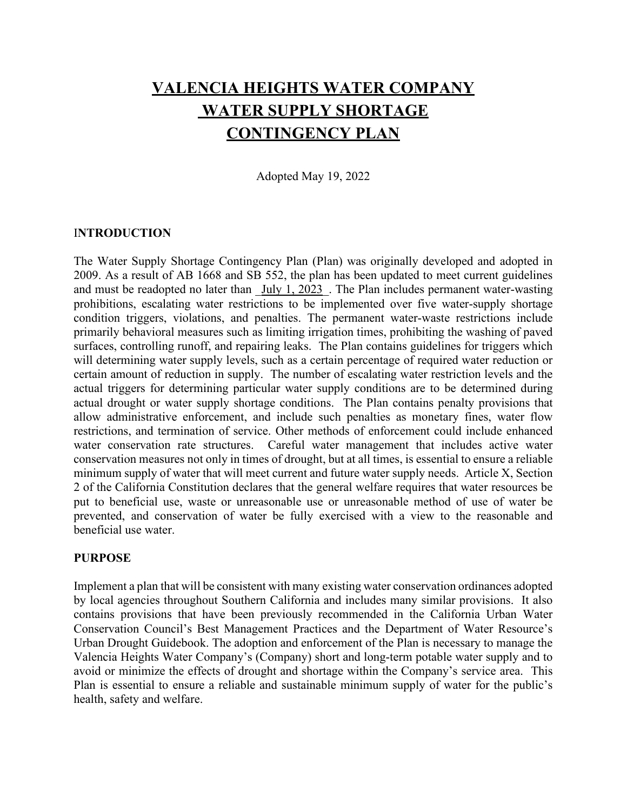# **VALENCIA HEIGHTS WATER COMPANY WATER SUPPLY SHORTAGE CONTINGENCY PLAN**

Adopted May 19, 2022

#### I**NTRODUCTION**

The Water Supply Shortage Contingency Plan (Plan) was originally developed and adopted in 2009. As a result of AB 1668 and SB 552, the plan has been updated to meet current guidelines and must be readopted no later than July 1, 2023. The Plan includes permanent water-wasting prohibitions, escalating water restrictions to be implemented over five water-supply shortage condition triggers, violations, and penalties. The permanent water-waste restrictions include primarily behavioral measures such as limiting irrigation times, prohibiting the washing of paved surfaces, controlling runoff, and repairing leaks. The Plan contains guidelines for triggers which will determining water supply levels, such as a certain percentage of required water reduction or certain amount of reduction in supply. The number of escalating water restriction levels and the actual triggers for determining particular water supply conditions are to be determined during actual drought or water supply shortage conditions. The Plan contains penalty provisions that allow administrative enforcement, and include such penalties as monetary fines, water flow restrictions, and termination of service. Other methods of enforcement could include enhanced water conservation rate structures. Careful water management that includes active water conservation measures not only in times of drought, but at all times, is essential to ensure a reliable minimum supply of water that will meet current and future water supply needs. Article X, Section 2 of the California Constitution declares that the general welfare requires that water resources be put to beneficial use, waste or unreasonable use or unreasonable method of use of water be prevented, and conservation of water be fully exercised with a view to the reasonable and beneficial use water.

#### **PURPOSE**

Implement a plan that will be consistent with many existing water conservation ordinances adopted by local agencies throughout Southern California and includes many similar provisions. It also contains provisions that have been previously recommended in the California Urban Water Conservation Council's Best Management Practices and the Department of Water Resource's Urban Drought Guidebook. The adoption and enforcement of the Plan is necessary to manage the Valencia Heights Water Company's (Company) short and long-term potable water supply and to avoid or minimize the effects of drought and shortage within the Company's service area. This Plan is essential to ensure a reliable and sustainable minimum supply of water for the public's health, safety and welfare.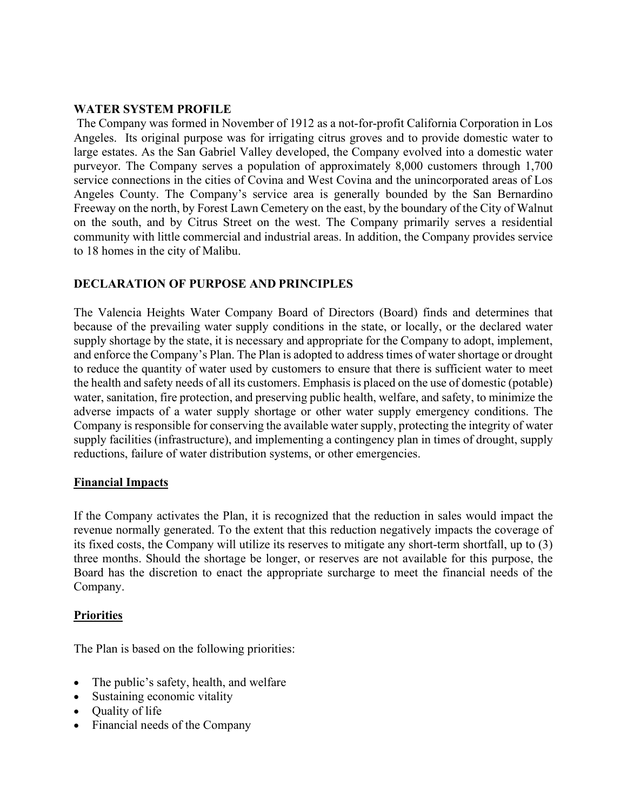#### **WATER SYSTEM PROFILE**

The Company was formed in November of 1912 as a not-for-profit California Corporation in Los Angeles. Its original purpose was for irrigating citrus groves and to provide domestic water to large estates. As the San Gabriel Valley developed, the Company evolved into a domestic water purveyor. The Company serves a population of approximately 8,000 customers through 1,700 service connections in the cities of Covina and West Covina and the unincorporated areas of Los Angeles County. The Company's service area is generally bounded by the San Bernardino Freeway on the north, by Forest Lawn Cemetery on the east, by the boundary of the City of Walnut on the south, and by Citrus Street on the west. The Company primarily serves a residential community with little commercial and industrial areas. In addition, the Company provides service to 18 homes in the city of Malibu.

## **DECLARATION OF PURPOSE AND PRINCIPLES**

The Valencia Heights Water Company Board of Directors (Board) finds and determines that because of the prevailing water supply conditions in the state, or locally, or the declared water supply shortage by the state, it is necessary and appropriate for the Company to adopt, implement, and enforce the Company's Plan. The Plan is adopted to address times of water shortage or drought to reduce the quantity of water used by customers to ensure that there is sufficient water to meet the health and safety needs of all its customers. Emphasis is placed on the use of domestic (potable) water, sanitation, fire protection, and preserving public health, welfare, and safety, to minimize the adverse impacts of a water supply shortage or other water supply emergency conditions. The Company is responsible for conserving the available water supply, protecting the integrity of water supply facilities (infrastructure), and implementing a contingency plan in times of drought, supply reductions, failure of water distribution systems, or other emergencies.

#### **Financial Impacts**

If the Company activates the Plan, it is recognized that the reduction in sales would impact the revenue normally generated. To the extent that this reduction negatively impacts the coverage of its fixed costs, the Company will utilize its reserves to mitigate any short-term shortfall, up to (3) three months. Should the shortage be longer, or reserves are not available for this purpose, the Board has the discretion to enact the appropriate surcharge to meet the financial needs of the Company.

#### **Priorities**

The Plan is based on the following priorities:

- The public's safety, health, and welfare
- Sustaining economic vitality
- Quality of life
- Financial needs of the Company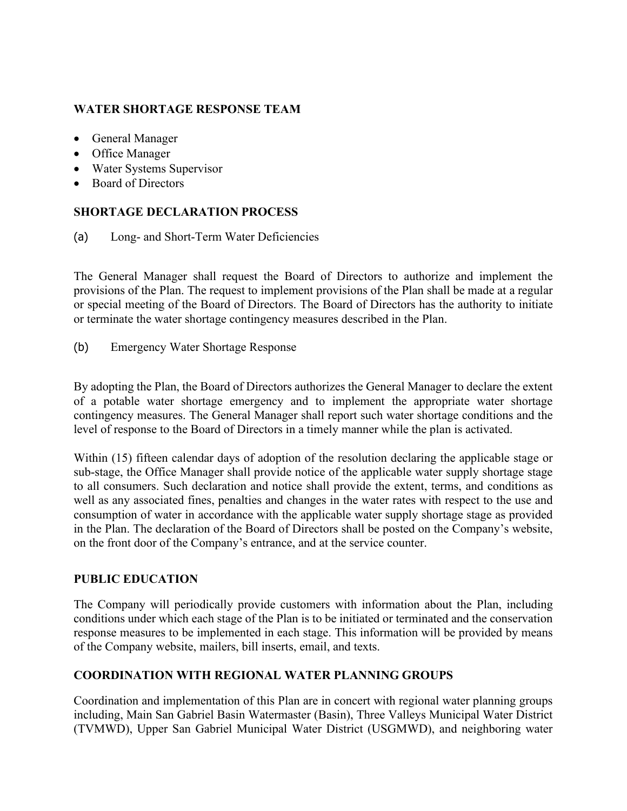## **WATER SHORTAGE RESPONSE TEAM**

- General Manager
- Office Manager
- Water Systems Supervisor
- Board of Directors

## **SHORTAGE DECLARATION PROCESS**

(a) Long- and Short-Term Water Deficiencies

The General Manager shall request the Board of Directors to authorize and implement the provisions of the Plan. The request to implement provisions of the Plan shall be made at a regular or special meeting of the Board of Directors. The Board of Directors has the authority to initiate or terminate the water shortage contingency measures described in the Plan.

(b) Emergency Water Shortage Response

By adopting the Plan, the Board of Directors authorizes the General Manager to declare the extent of a potable water shortage emergency and to implement the appropriate water shortage contingency measures. The General Manager shall report such water shortage conditions and the level of response to the Board of Directors in a timely manner while the plan is activated.

Within (15) fifteen calendar days of adoption of the resolution declaring the applicable stage or sub-stage, the Office Manager shall provide notice of the applicable water supply shortage stage to all consumers. Such declaration and notice shall provide the extent, terms, and conditions as well as any associated fines, penalties and changes in the water rates with respect to the use and consumption of water in accordance with the applicable water supply shortage stage as provided in the Plan. The declaration of the Board of Directors shall be posted on the Company's website, on the front door of the Company's entrance, and at the service counter.

#### **PUBLIC EDUCATION**

The Company will periodically provide customers with information about the Plan, including conditions under which each stage of the Plan is to be initiated or terminated and the conservation response measures to be implemented in each stage. This information will be provided by means of the Company website, mailers, bill inserts, email, and texts.

## **COORDINATION WITH REGIONAL WATER PLANNING GROUPS**

Coordination and implementation of this Plan are in concert with regional water planning groups including, Main San Gabriel Basin Watermaster (Basin), Three Valleys Municipal Water District (TVMWD), Upper San Gabriel Municipal Water District (USGMWD), and neighboring water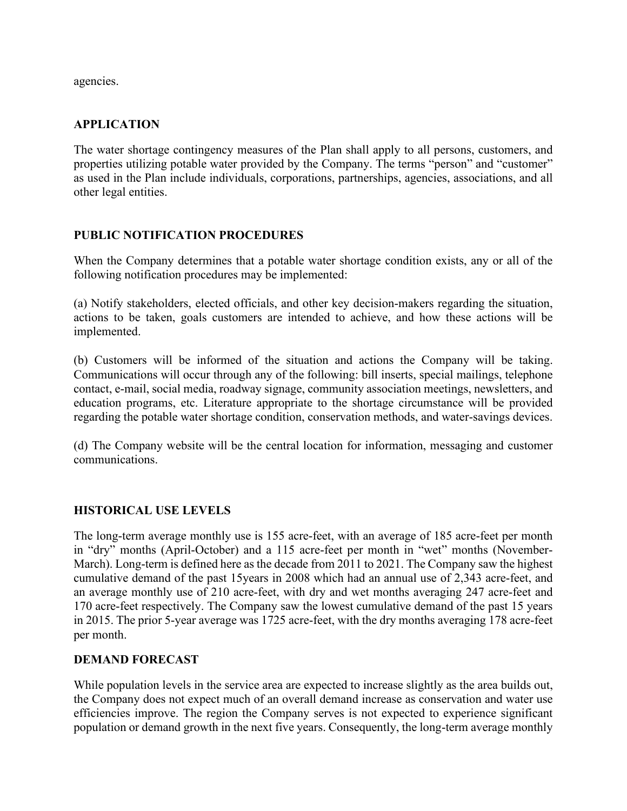agencies.

## **APPLICATION**

The water shortage contingency measures of the Plan shall apply to all persons, customers, and properties utilizing potable water provided by the Company. The terms "person" and "customer" as used in the Plan include individuals, corporations, partnerships, agencies, associations, and all other legal entities.

#### **PUBLIC NOTIFICATION PROCEDURES**

When the Company determines that a potable water shortage condition exists, any or all of the following notification procedures may be implemented:

(a) Notify stakeholders, elected officials, and other key decision-makers regarding the situation, actions to be taken, goals customers are intended to achieve, and how these actions will be implemented.

(b) Customers will be informed of the situation and actions the Company will be taking. Communications will occur through any of the following: bill inserts, special mailings, telephone contact, e-mail, social media, roadway signage, community association meetings, newsletters, and education programs, etc. Literature appropriate to the shortage circumstance will be provided regarding the potable water shortage condition, conservation methods, and water-savings devices.

(d) The Company website will be the central location for information, messaging and customer communications.

## **HISTORICAL USE LEVELS**

The long-term average monthly use is 155 acre-feet, with an average of 185 acre-feet per month in "dry" months (April-October) and a 115 acre-feet per month in "wet" months (November-March). Long-term is defined here as the decade from 2011 to 2021. The Company saw the highest cumulative demand of the past 15years in 2008 which had an annual use of 2,343 acre-feet, and an average monthly use of 210 acre-feet, with dry and wet months averaging 247 acre-feet and 170 acre-feet respectively. The Company saw the lowest cumulative demand of the past 15 years in 2015. The prior 5-year average was 1725 acre-feet, with the dry months averaging 178 acre-feet per month.

#### **DEMAND FORECAST**

While population levels in the service area are expected to increase slightly as the area builds out, the Company does not expect much of an overall demand increase as conservation and water use efficiencies improve. The region the Company serves is not expected to experience significant population or demand growth in the next five years. Consequently, the long-term average monthly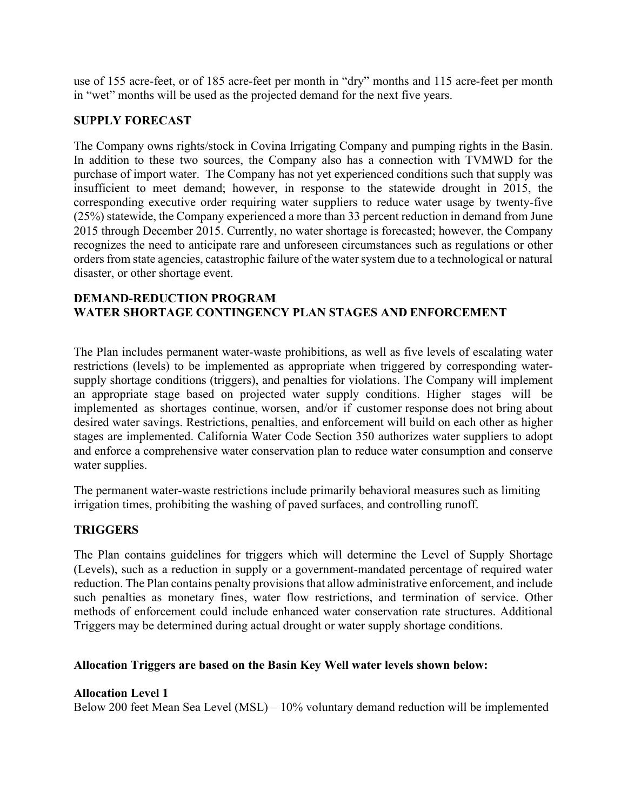use of 155 acre-feet, or of 185 acre-feet per month in "dry" months and 115 acre-feet per month in "wet" months will be used as the projected demand for the next five years.

## **SUPPLY FORECAST**

The Company owns rights/stock in Covina Irrigating Company and pumping rights in the Basin. In addition to these two sources, the Company also has a connection with TVMWD for the purchase of import water. The Company has not yet experienced conditions such that supply was insufficient to meet demand; however, in response to the statewide drought in 2015, the corresponding executive order requiring water suppliers to reduce water usage by twenty-five (25%) statewide, the Company experienced a more than 33 percent reduction in demand from June 2015 through December 2015. Currently, no water shortage is forecasted; however, the Company recognizes the need to anticipate rare and unforeseen circumstances such as regulations or other orders from state agencies, catastrophic failure of the water system due to a technological or natural disaster, or other shortage event.

## **DEMAND-REDUCTION PROGRAM WATER SHORTAGE CONTINGENCY PLAN STAGES AND ENFORCEMENT**

The Plan includes permanent water-waste prohibitions, as well as five levels of escalating water restrictions (levels) to be implemented as appropriate when triggered by corresponding watersupply shortage conditions (triggers), and penalties for violations. The Company will implement an appropriate stage based on projected water supply conditions. Higher stages will be implemented as shortages continue, worsen, and/or if customer response does not bring about desired water savings. Restrictions, penalties, and enforcement will build on each other as higher stages are implemented. California Water Code Section 350 authorizes water suppliers to adopt and enforce a comprehensive water conservation plan to reduce water consumption and conserve water supplies.

The permanent water-waste restrictions include primarily behavioral measures such as limiting irrigation times, prohibiting the washing of paved surfaces, and controlling runoff.

## **TRIGGERS**

The Plan contains guidelines for triggers which will determine the Level of Supply Shortage (Levels), such as a reduction in supply or a government-mandated percentage of required water reduction. The Plan contains penalty provisions that allow administrative enforcement, and include such penalties as monetary fines, water flow restrictions, and termination of service. Other methods of enforcement could include enhanced water conservation rate structures. Additional Triggers may be determined during actual drought or water supply shortage conditions.

## **Allocation Triggers are based on the Basin Key Well water levels shown below:**

#### **Allocation Level 1**

Below 200 feet Mean Sea Level (MSL) – 10% voluntary demand reduction will be implemented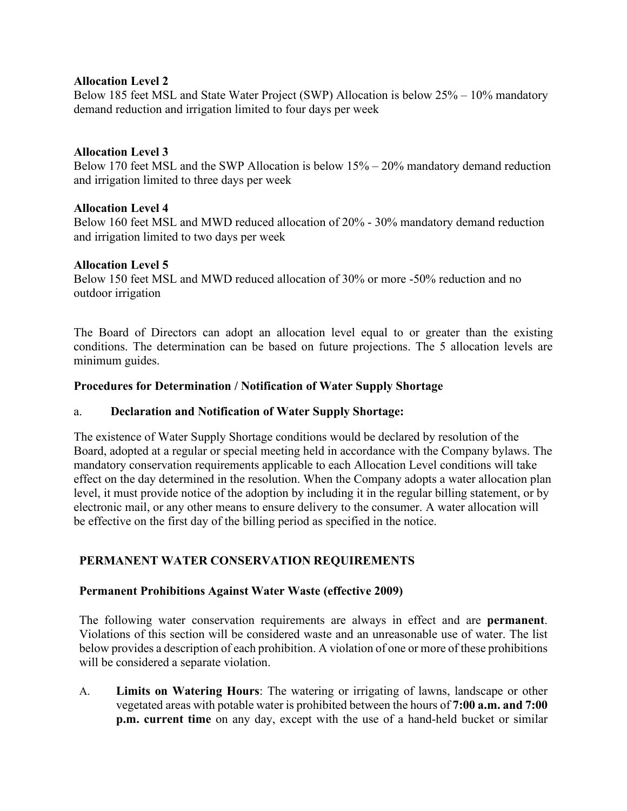#### **Allocation Level 2**

Below 185 feet MSL and State Water Project (SWP) Allocation is below 25% – 10% mandatory demand reduction and irrigation limited to four days per week

## **Allocation Level 3**

Below 170 feet MSL and the SWP Allocation is below 15% – 20% mandatory demand reduction and irrigation limited to three days per week

## **Allocation Level 4**

Below 160 feet MSL and MWD reduced allocation of 20% - 30% mandatory demand reduction and irrigation limited to two days per week

## **Allocation Level 5**

Below 150 feet MSL and MWD reduced allocation of 30% or more -50% reduction and no outdoor irrigation

The Board of Directors can adopt an allocation level equal to or greater than the existing conditions. The determination can be based on future projections. The 5 allocation levels are minimum guides.

## **Procedures for Determination / Notification of Water Supply Shortage**

#### a. **Declaration and Notification of Water Supply Shortage:**

The existence of Water Supply Shortage conditions would be declared by resolution of the Board, adopted at a regular or special meeting held in accordance with the Company bylaws. The mandatory conservation requirements applicable to each Allocation Level conditions will take effect on the day determined in the resolution. When the Company adopts a water allocation plan level, it must provide notice of the adoption by including it in the regular billing statement, or by electronic mail, or any other means to ensure delivery to the consumer. A water allocation will be effective on the first day of the billing period as specified in the notice.

## **PERMANENT WATER CONSERVATION REQUIREMENTS**

## **Permanent Prohibitions Against Water Waste (effective 2009)**

The following water conservation requirements are always in effect and are **permanent**. Violations of this section will be considered waste and an unreasonable use of water. The list below provides a description of each prohibition. A violation of one or more of these prohibitions will be considered a separate violation.

A. **Limits on Watering Hours**: The watering or irrigating of lawns, landscape or other vegetated areas with potable water is prohibited between the hours of **7:00 a.m. and 7:00 p.m. current time** on any day, except with the use of a hand-held bucket or similar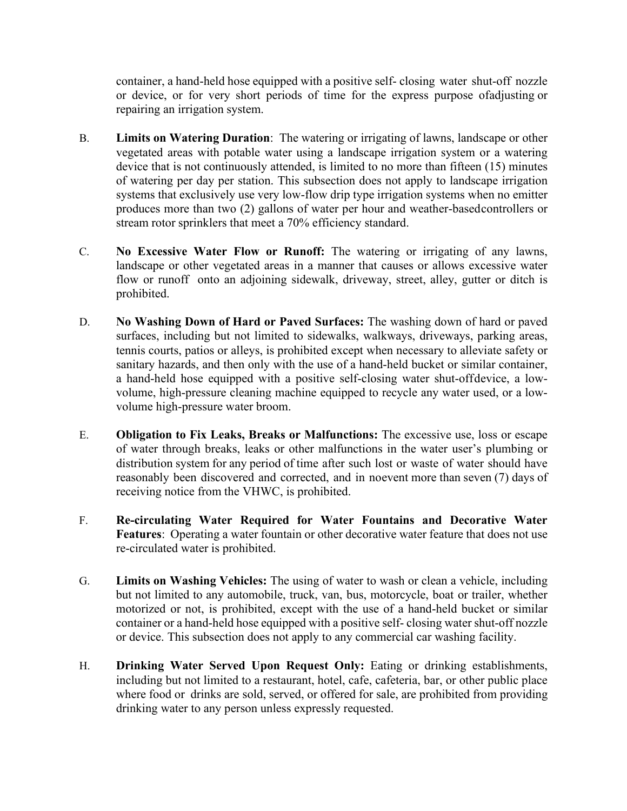container, a hand-held hose equipped with a positive self- closing water shut-off nozzle or device, or for very short periods of time for the express purpose ofadjusting or repairing an irrigation system.

- B. **Limits on Watering Duration**: The watering or irrigating of lawns, landscape or other vegetated areas with potable water using a landscape irrigation system or a watering device that is not continuously attended, is limited to no more than fifteen (15) minutes of watering per day per station. This subsection does not apply to landscape irrigation systems that exclusively use very low-flow drip type irrigation systems when no emitter produces more than two (2) gallons of water per hour and weather-basedcontrollers or stream rotor sprinklers that meet a 70% efficiency standard.
- C. **No Excessive Water Flow or Runoff:** The watering or irrigating of any lawns, landscape or other vegetated areas in a manner that causes or allows excessive water flow or runoff onto an adjoining sidewalk, driveway, street, alley, gutter or ditch is prohibited.
- D. **No Washing Down of Hard or Paved Surfaces:** The washing down of hard or paved surfaces, including but not limited to sidewalks, walkways, driveways, parking areas, tennis courts, patios or alleys, is prohibited except when necessary to alleviate safety or sanitary hazards, and then only with the use of a hand-held bucket or similar container, a hand-held hose equipped with a positive self-closing water shut-offdevice, a lowvolume, high-pressure cleaning machine equipped to recycle any water used, or a lowvolume high-pressure water broom.
- E. **Obligation to Fix Leaks, Breaks or Malfunctions:** The excessive use, loss or escape of water through breaks, leaks or other malfunctions in the water user's plumbing or distribution system for any period of time after such lost or waste of water should have reasonably been discovered and corrected, and in noevent more than seven (7) days of receiving notice from the VHWC, is prohibited.
- F. **Re-circulating Water Required for Water Fountains and Decorative Water Features**: Operating a water fountain or other decorative water feature that does not use re-circulated water is prohibited.
- G. **Limits on Washing Vehicles:** The using of water to wash or clean a vehicle, including but not limited to any automobile, truck, van, bus, motorcycle, boat or trailer, whether motorized or not, is prohibited, except with the use of a hand-held bucket or similar container or a hand-held hose equipped with a positive self- closing water shut-off nozzle or device. This subsection does not apply to any commercial car washing facility.
- H. **Drinking Water Served Upon Request Only:** Eating or drinking establishments, including but not limited to a restaurant, hotel, cafe, cafeteria, bar, or other public place where food or drinks are sold, served, or offered for sale, are prohibited from providing drinking water to any person unless expressly requested.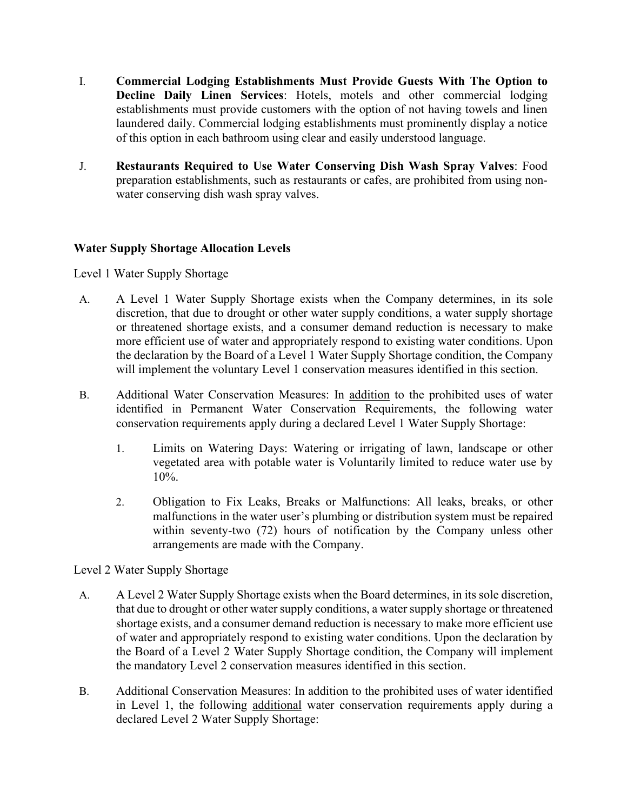- I. **Commercial Lodging Establishments Must Provide Guests With The Option to Decline Daily Linen Services**: Hotels, motels and other commercial lodging establishments must provide customers with the option of not having towels and linen laundered daily. Commercial lodging establishments must prominently display a notice of this option in each bathroom using clear and easily understood language.
- J. **Restaurants Required to Use Water Conserving Dish Wash Spray Valves**: Food preparation establishments, such as restaurants or cafes, are prohibited from using nonwater conserving dish wash spray valves.

## **Water Supply Shortage Allocation Levels**

#### Level 1 Water Supply Shortage

- A. A Level 1 Water Supply Shortage exists when the Company determines, in its sole discretion, that due to drought or other water supply conditions, a water supply shortage or threatened shortage exists, and a consumer demand reduction is necessary to make more efficient use of water and appropriately respond to existing water conditions. Upon the declaration by the Board of a Level 1 Water Supply Shortage condition, the Company will implement the voluntary Level 1 conservation measures identified in this section.
- B. Additional Water Conservation Measures: In addition to the prohibited uses of water identified in Permanent Water Conservation Requirements, the following water conservation requirements apply during a declared Level 1 Water Supply Shortage:
	- 1. Limits on Watering Days: Watering or irrigating of lawn, landscape or other vegetated area with potable water is Voluntarily limited to reduce water use by 10%.
	- 2. Obligation to Fix Leaks, Breaks or Malfunctions: All leaks, breaks, or other malfunctions in the water user's plumbing or distribution system must be repaired within seventy-two (72) hours of notification by the Company unless other arrangements are made with the Company.

#### Level 2 Water Supply Shortage

- A. A Level 2 Water Supply Shortage exists when the Board determines, in its sole discretion, that due to drought or other water supply conditions, a water supply shortage or threatened shortage exists, and a consumer demand reduction is necessary to make more efficient use of water and appropriately respond to existing water conditions. Upon the declaration by the Board of a Level 2 Water Supply Shortage condition, the Company will implement the mandatory Level 2 conservation measures identified in this section.
- B. Additional Conservation Measures: In addition to the prohibited uses of water identified in Level 1, the following additional water conservation requirements apply during a declared Level 2 Water Supply Shortage: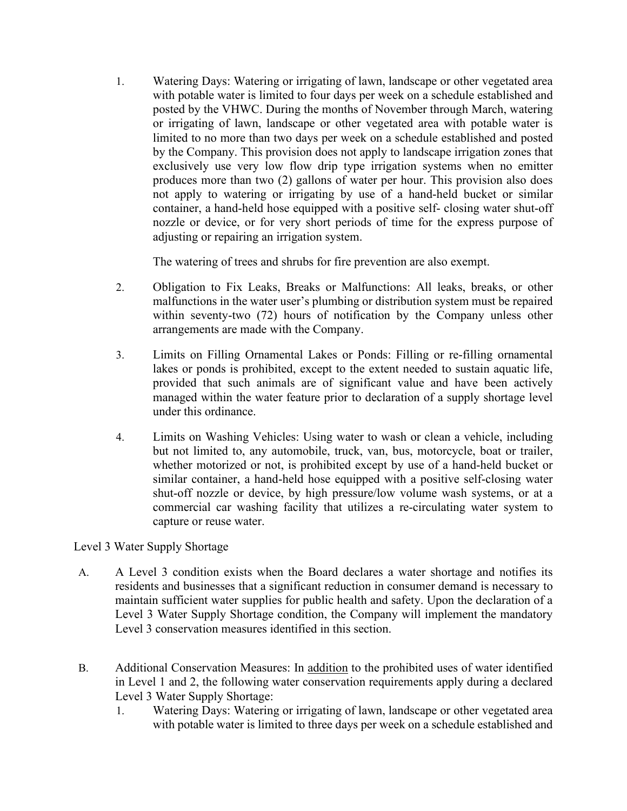1. Watering Days: Watering or irrigating of lawn, landscape or other vegetated area with potable water is limited to four days per week on a schedule established and posted by the VHWC. During the months of November through March, watering or irrigating of lawn, landscape or other vegetated area with potable water is limited to no more than two days per week on a schedule established and posted by the Company. This provision does not apply to landscape irrigation zones that exclusively use very low flow drip type irrigation systems when no emitter produces more than two (2) gallons of water per hour. This provision also does not apply to watering or irrigating by use of a hand-held bucket or similar container, a hand-held hose equipped with a positive self- closing water shut-off nozzle or device, or for very short periods of time for the express purpose of adjusting or repairing an irrigation system.

The watering of trees and shrubs for fire prevention are also exempt.

- 2. Obligation to Fix Leaks, Breaks or Malfunctions: All leaks, breaks, or other malfunctions in the water user's plumbing or distribution system must be repaired within seventy-two (72) hours of notification by the Company unless other arrangements are made with the Company.
- 3. Limits on Filling Ornamental Lakes or Ponds: Filling or re-filling ornamental lakes or ponds is prohibited, except to the extent needed to sustain aquatic life, provided that such animals are of significant value and have been actively managed within the water feature prior to declaration of a supply shortage level under this ordinance.
- 4. Limits on Washing Vehicles: Using water to wash or clean a vehicle, including but not limited to, any automobile, truck, van, bus, motorcycle, boat or trailer, whether motorized or not, is prohibited except by use of a hand-held bucket or similar container, a hand-held hose equipped with a positive self-closing water shut-off nozzle or device, by high pressure/low volume wash systems, or at a commercial car washing facility that utilizes a re-circulating water system to capture or reuse water.

# Level 3 Water Supply Shortage

- A. A Level 3 condition exists when the Board declares a water shortage and notifies its residents and businesses that a significant reduction in consumer demand is necessary to maintain sufficient water supplies for public health and safety. Upon the declaration of a Level 3 Water Supply Shortage condition, the Company will implement the mandatory Level 3 conservation measures identified in this section.
- B. Additional Conservation Measures: In addition to the prohibited uses of water identified in Level 1 and 2, the following water conservation requirements apply during a declared Level 3 Water Supply Shortage:
	- 1. Watering Days: Watering or irrigating of lawn, landscape or other vegetated area with potable water is limited to three days per week on a schedule established and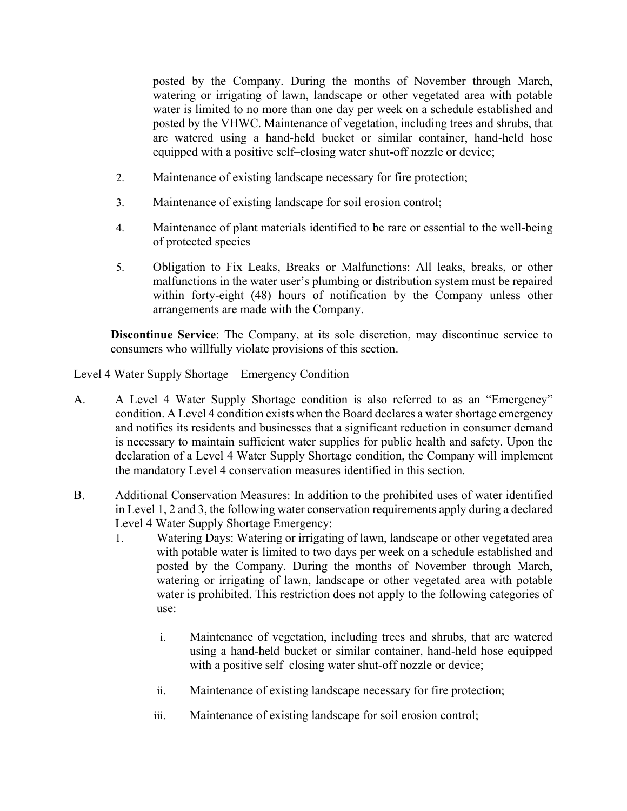posted by the Company. During the months of November through March, watering or irrigating of lawn, landscape or other vegetated area with potable water is limited to no more than one day per week on a schedule established and posted by the VHWC. Maintenance of vegetation, including trees and shrubs, that are watered using a hand-held bucket or similar container, hand-held hose equipped with a positive self–closing water shut-off nozzle or device;

- 2. Maintenance of existing landscape necessary for fire protection;
- 3. Maintenance of existing landscape for soil erosion control;
- 4. Maintenance of plant materials identified to be rare or essential to the well-being of protected species
- 5. Obligation to Fix Leaks, Breaks or Malfunctions: All leaks, breaks, or other malfunctions in the water user's plumbing or distribution system must be repaired within forty-eight (48) hours of notification by the Company unless other arrangements are made with the Company.

**Discontinue Service**: The Company, at its sole discretion, may discontinue service to consumers who willfully violate provisions of this section.

Level 4 Water Supply Shortage – Emergency Condition

- A. A Level 4 Water Supply Shortage condition is also referred to as an "Emergency" condition. A Level 4 condition exists when the Board declares a water shortage emergency and notifies its residents and businesses that a significant reduction in consumer demand is necessary to maintain sufficient water supplies for public health and safety. Upon the declaration of a Level 4 Water Supply Shortage condition, the Company will implement the mandatory Level 4 conservation measures identified in this section.
- B. Additional Conservation Measures: In addition to the prohibited uses of water identified in Level 1, 2 and 3, the following water conservation requirements apply during a declared Level 4 Water Supply Shortage Emergency:
	- 1. Watering Days: Watering or irrigating of lawn, landscape or other vegetated area with potable water is limited to two days per week on a schedule established and posted by the Company. During the months of November through March, watering or irrigating of lawn, landscape or other vegetated area with potable water is prohibited. This restriction does not apply to the following categories of use:
		- i. Maintenance of vegetation, including trees and shrubs, that are watered using a hand-held bucket or similar container, hand-held hose equipped with a positive self–closing water shut-off nozzle or device;
		- ii. Maintenance of existing landscape necessary for fire protection;
		- iii. Maintenance of existing landscape for soil erosion control;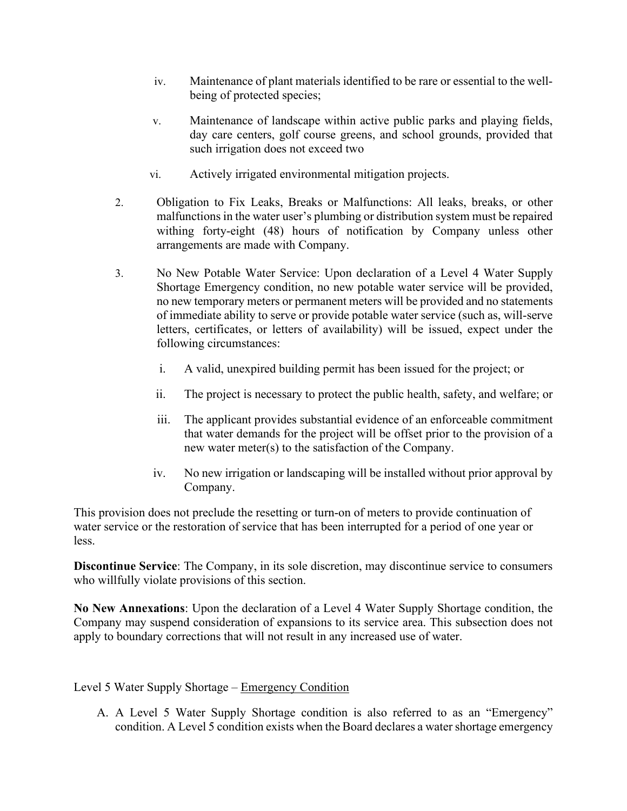- iv. Maintenance of plant materials identified to be rare or essential to the wellbeing of protected species;
- v. Maintenance of landscape within active public parks and playing fields, day care centers, golf course greens, and school grounds, provided that such irrigation does not exceed two
- vi. Actively irrigated environmental mitigation projects.
- 2. Obligation to Fix Leaks, Breaks or Malfunctions: All leaks, breaks, or other malfunctions in the water user's plumbing or distribution system must be repaired withing forty-eight (48) hours of notification by Company unless other arrangements are made with Company.
- 3. No New Potable Water Service: Upon declaration of a Level 4 Water Supply Shortage Emergency condition, no new potable water service will be provided, no new temporary meters or permanent meters will be provided and no statements of immediate ability to serve or provide potable water service (such as, will-serve letters, certificates, or letters of availability) will be issued, expect under the following circumstances:
	- i. A valid, unexpired building permit has been issued for the project; or
	- ii. The project is necessary to protect the public health, safety, and welfare; or
	- iii. The applicant provides substantial evidence of an enforceable commitment that water demands for the project will be offset prior to the provision of a new water meter(s) to the satisfaction of the Company.
	- iv. No new irrigation or landscaping will be installed without prior approval by Company.

This provision does not preclude the resetting or turn-on of meters to provide continuation of water service or the restoration of service that has been interrupted for a period of one year or less.

**Discontinue Service**: The Company, in its sole discretion, may discontinue service to consumers who willfully violate provisions of this section.

**No New Annexations**: Upon the declaration of a Level 4 Water Supply Shortage condition, the Company may suspend consideration of expansions to its service area. This subsection does not apply to boundary corrections that will not result in any increased use of water.

#### Level 5 Water Supply Shortage – Emergency Condition

A. A Level 5 Water Supply Shortage condition is also referred to as an "Emergency" condition. A Level 5 condition exists when the Board declares a water shortage emergency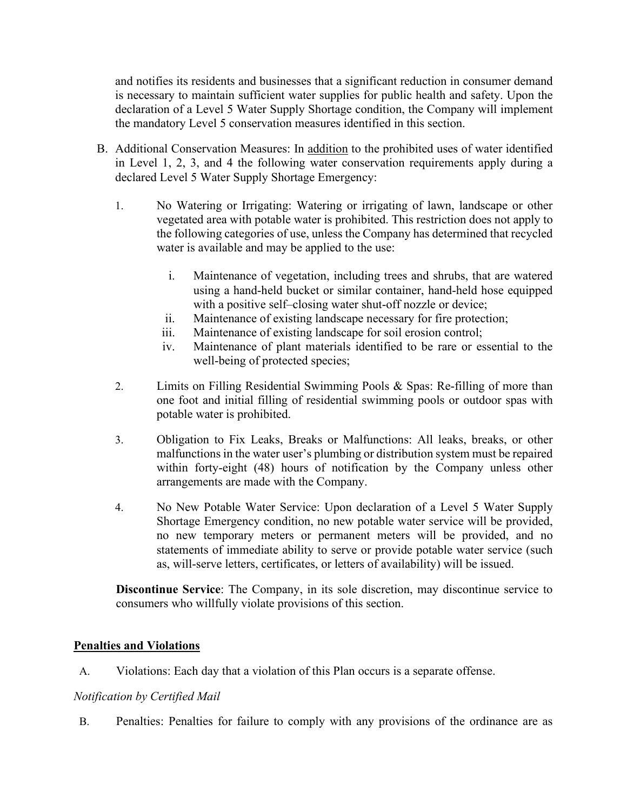and notifies its residents and businesses that a significant reduction in consumer demand is necessary to maintain sufficient water supplies for public health and safety. Upon the declaration of a Level 5 Water Supply Shortage condition, the Company will implement the mandatory Level 5 conservation measures identified in this section.

- B. Additional Conservation Measures: In addition to the prohibited uses of water identified in Level 1, 2, 3, and 4 the following water conservation requirements apply during a declared Level 5 Water Supply Shortage Emergency:
	- 1. No Watering or Irrigating: Watering or irrigating of lawn, landscape or other vegetated area with potable water is prohibited. This restriction does not apply to the following categories of use, unless the Company has determined that recycled water is available and may be applied to the use:
		- i. Maintenance of vegetation, including trees and shrubs, that are watered using a hand-held bucket or similar container, hand-held hose equipped with a positive self–closing water shut-off nozzle or device;
		- ii. Maintenance of existing landscape necessary for fire protection;
		- iii. Maintenance of existing landscape for soil erosion control;
		- iv. Maintenance of plant materials identified to be rare or essential to the well-being of protected species;
	- 2. Limits on Filling Residential Swimming Pools & Spas: Re-filling of more than one foot and initial filling of residential swimming pools or outdoor spas with potable water is prohibited.
	- 3. Obligation to Fix Leaks, Breaks or Malfunctions: All leaks, breaks, or other malfunctions in the water user's plumbing or distribution system must be repaired within forty-eight (48) hours of notification by the Company unless other arrangements are made with the Company.
	- 4. No New Potable Water Service: Upon declaration of a Level 5 Water Supply Shortage Emergency condition, no new potable water service will be provided, no new temporary meters or permanent meters will be provided, and no statements of immediate ability to serve or provide potable water service (such as, will-serve letters, certificates, or letters of availability) will be issued.

**Discontinue Service**: The Company, in its sole discretion, may discontinue service to consumers who willfully violate provisions of this section.

## **Penalties and Violations**

A. Violations: Each day that a violation of this Plan occurs is a separate offense.

## *Notification by Certified Mail*

B. Penalties: Penalties for failure to comply with any provisions of the ordinance are as